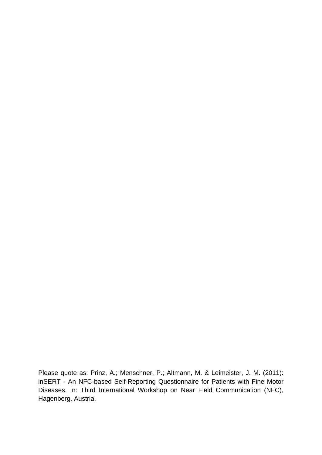Please quote as: Prinz, A.; Menschner, P.; Altmann, M. & Leimeister, J. M. (2011): inSERT - An NFC-based Self-Reporting Questionnaire for Patients with Fine Motor Diseases. In: Third International Workshop on Near Field Communication (NFC), Hagenberg, Austria.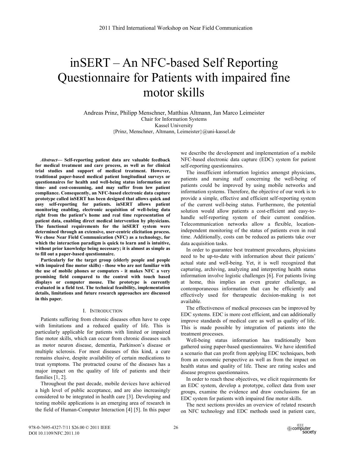# inSERT – An NFC-based Self Reporting Questionnaire for Patients with impaired fine motor skills

Andreas Prinz, Philipp Menschner, Matthias Altmann, Jan Marco Leimeister Chair for Information Systems Kassel University {Prinz, Menschner, Altmann, Leimeister}@uni-kassel.de

*Abstract***— Self-reporting patient data are valuable feedback for medical treatment and care process, as well as for clinical trial studies and support of medical treatment. However, traditional paper-based medical patient longitudinal surveys or questionnaires for health and well-being status information are time- and cost-consuming, and may suffer from low patient compliance. Consequently, an NFC-based electronic data capture prototype called inSERT has been designed that allows quick and easy self-reporting for patients. inSERT allows patient monitoring enabling, electronic acquisition of well-being data right from the patient's home and real time representation of patient data, enabling direct medical intervention by physicians. The functional requirements for the inSERT system were determined through an extensive, user-centric elicitation process. We chose Near Field Communication (NFC) as a technology, for which the interaction paradigm is quick to learn and is intuitive, without prior knowledge being necessary; it is almost as simple as to fill out a paper-based questionnaire.** 

**Particularly for the target group (elderly people and people with impaired fine motor skills) - those who are not familiar with the use of mobile phones or computers - it makes NFC a very promising field compared to the control with touch based displays or computer mouse. The prototype is currently evaluated in a field test. The technical feasibility, implementation details, limitations and future research approaches are discussed in this paper.** 

# I. INTRODUCTION

Patients suffering from chronic diseases often have to cope with limitations and a reduced quality of life. This is particularly applicable for patients with limited or impaired fine motor skills, which can occur from chronic diseases such as motor neuron disease, dementia, Parkinson's disease or multiple sclerosis. For most diseases of this kind, a cure remains elusive, despite availability of certain medications to treat symptoms. The protracted course of the diseases has a major impact on the quality of life of patients and their families [1, 2].

Throughout the past decade, mobile devices have achieved a high level of public acceptance, and are also increasingly considered to be integrated in health care [3]. Developing and testing mobile applications is an emerging area of research in the field of Human-Computer Interaction [4] [5]. In this paper we describe the development and implementation of a mobile NFC-based electronic data capture (EDC) system for patient self-reporting questionnaires.

The insufficient information logistics amongst physicians, patients and nursing staff concerning the well-being of patients could be improved by using mobile networks and information systems. Therefore, the objective of our work is to provide a simple, effective and efficient self-reporting system of the current well-being status. Furthermore, the potential solution would allow patients a cost-efficient and easy-tohandle self-reporting system of their current condition. Telecommunication networks allow a flexible, locationindependent monitoring of the status of patients even in real time. Additionally, costs can be reduced as patients take over data acquisition tasks.

In order to guarantee best treatment procedures, physicians need to be up-to-date with information about their patients' actual state and well-being. Yet, it is well recognized that capturing, archiving, analyzing and interpreting health status information involve logistic challenges [6]. For patients living at home, this implies an even greater challenge, as contemporaneous information that can be efficiently and effectively used for therapeutic decision-making is not available.

The effectiveness of medical processes can be improved by EDC systems. EDC is more cost efficient, and can additionally improve standards of medical care as well as quality of life. This is made possible by integration of patients into the treatment processes.

Well-being status information has traditionally been gathered using paper-based questionnaires. We have identified a scenario that can profit from applying EDC techniques, both from an economic perspective as well as from the impact on health status and quality of life. These are rating scales and disease progress questionnaires.

In order to reach these objectives, we elicit requirements for an EDC system, develop a prototype, collect data from user groups, examine the evidence and draw conclusions for an EDC system for patients with impaired fine motor skills.

The next sections provides an overview of related research on NFC technology and EDC methods used in patient care,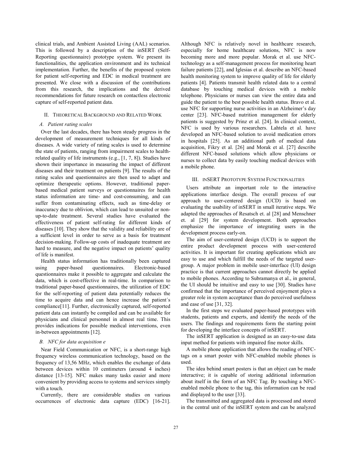clinical trials, and Ambient Assisted Living (AAL) scenarios. This is followed by a description of the inSERT (Self-Reporting questionnaire) prototype system. We present its functionalities, the application environment and its technical implementation. Further, the benefits of the proposed system for patient self-reporting and EDC in medical treatment are presented. We close with a discussion of the contributions from this research, the implications and the derived recommendations for future research on contactless electronic capture of self-reported patient data.

## II. THEORETICAL BACKGROUND AND RELATED WORK

## *A. Patient rating scales*

Over the last decades, there has been steady progress in the development of measurement techniques for all kinds of diseases. A wide variety of rating scales is used to determine the state of patients, ranging from impairment scales to healthrelated quality of life instruments (e.g., [1, 7, 8]). Studies have shown their importance in measuring the impact of different diseases and their treatment on patients [9]. The results of the rating scales and questionnaires are then used to adapt and optimize therapeutic options. However, traditional paperbased medical patient surveys or questionnaires for health status information are time- and cost-consuming, and can suffer from contaminating effects, such as time-delay or inaccuracy due to oblivion, which can lead to unsuited or nonup-to-date treatment. Several studies have evaluated the effectiveness of patient self-rating for different kinds of diseases [10]. They show that the validity and reliability are of a sufficient level in order to serve as a basis for treatment decision-making. Follow-up costs of inadequate treatment are hard to measure, and the negative impact on patients' quality of life is manifest.

Health status information has traditionally been captured using paper-based questionnaires. Electronic-based questionnaires make it possible to aggregate and calculate the data, which is cost-effective in real-time. In comparison to traditional paper-based questionnaires, the utilization of EDC for the self-reporting of patient data potentially reduces the time to acquire data and can hence increase the patient´s compliance[11]. Further, electronically captured, self-reported patient data can instantly be compiled and can be available for physicians and clinical personnel in almost real time. This provides indications for possible medical interventions, even in-between appointments [12].

## *B. NFC for data acquisition e*

Near Field Communication or NFC, is a short-range high frequency wireless communication technology, based on the frequency of 13,56 MHz, which enables the exchange of data between devices within 10 centimeters (around 4 inches) distance [13-15]. NFC makes many tasks easier and more convenient by providing access to systems and services simply with a touch.

Currently, there are considerable studies on various occurrences of electronic data capture (EDC) [16-21].

Although NFC is relatively novel in healthcare research, especially for home healthcare solutions, NFC is now becoming more and more popular. Morak et al. use NFCtechnology as a self-management process for monitoring heart failure patients [22], and Iglesias et al. describe an NFC-based health monitoring system to improve quality of life for elderly patients [4]. Patients transmit health related data to a central database by touching medical devices with a mobile telephone. Physicians or nurses can view the entire data and guide the patient to the best possible health status. Bravo et al. use NFC for supporting nurse activities in an Alzheimer's day center [23]. NFC-based nutrition management for elderly patients is suggested by Prinz et al. [24]. In clinical context, NFC is used by various researchers. Lahtela et al. have developed an NFC-based solution to avoid medication errors in hospitals [25]. As an additional path of medical data acquisition, Fikry et al. [26] and Morak et al. [27] describe different NFC-based solutions which allow physicians or nurses to collect data by easily touching medical devices with a mobile phone.

# III. INSERT PROTOTYPE SYSTEM FUNCTIONALITIES

Users attribute an important role to the interactive applications interface design. The overall process of our approach to user-centered design (UCD) is based on evaluating the usability of inSERT in small iterative steps. We adapted the approaches of Resatsch et. al [28] and Menschner et. al [29] for system development. Both approaches emphasize the importance of integrating users in the development process early-on.

The aim of user-centered design (UCD) is to support the entire product development process with user-centered activities. It is important for creating applications which are easy to use and which fulfill the needs of the targeted usergroup. A major problem in mobile user-interface (UI) design practice is that current approaches cannot directly be applied to mobile phones. According to Subramanya et al., in general, the UI should be intuitive and easy to use [30]. Studies have confirmed that the importance of perceived enjoyment plays a greater role in system acceptance than do perceived usefulness and ease of use [31, 32].

In the first steps we evaluated paper-based prototypes with students, patients and experts, and identify the needs of the users. The findings and requirements form the starting point for developing the interface concepts of inSERT.

The inSERT application is designed as an easy-to-use data input method for patients with impaired fine motor skills.

A mobile phone application that allows the reading of NFCtags on a smart poster with NFC-enabled mobile phones is used.

The idea behind smart posters is that an object can be made interactive; it is capable of storing additional information about itself in the form of an NFC Tag. By touching a NFCenabled mobile phone to the tag, this information can be read and displayed to the user [33].

The transmitted and aggregated data is processed and stored in the central unit of the inSERT system and can be analyzed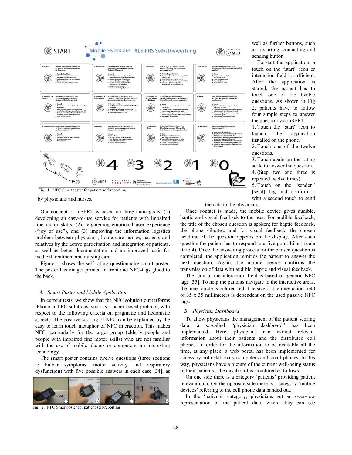

Fig. 1. NFC Smartposter for patient self-reporting

by physicians and nurses.

Our concept of inSERT is based on three main goals: (1) developing an easy-to-use service for patients with impaired fine motor skills, (2) heightening emotional user experience ("joy of use"), and  $(3)$  improving the information logistics problem between physicians, home care nurses, patients and relatives by the active participation and integration of patients, as well as better documentation and an im mproved basis for medical treatment and nursing care.

Figure 1 shows the self-rating questionnaire smart poster. The poster has images printed in front and N NFC-tags glued to the back.

### *A. Smart Poster and Mobile Application*

In current tests, we show that the NFC solution outperforms iPhone and PC-solutions, such as a paper-based protocol, with respect to the following criteria on pragmatic and hedonistic aspects. The positive scoring of NFC can be explained by the easy to learn touch metaphor of NFC interaction. This makes NFC, particularly for the target group (elderly people and people with impaired fine motor skills) who are not familiar with the use of mobile phones or computers, an interesting technology.

The smart poster contains twelve questions (three sections to bulbar symptoms, motor activity and respiratory dysfunction) with five possible answers in each case [34], as



Fig. 2. NFC Smartposter for patient self-reporting

well as further buttons, such as a starting, contacting and sending button.

tou uch on the "start" icon or int teraction field is sufficient. After the application is started, the patient has to tou uch one of the twelve qu estions. As shown in Fig 2, patients have to follow four simple steps to answer the e question via inSERT. To start the application, a

1. Touch the "start" icon to lau ins stalled on the phone. the application

2. Touch one of the twelve qu estions.

3. Touch again on the rating scale to answer the question. 4. (Step two and three is rep peated twelve times) 5. Touch on the "senden"

[send] tag and confirm it wit th a second touch to send

the data to the physician.

the data to the physician.<br>Once contact is made, the mobile device gives audible, haptic and visual feedback to the user. For audible feedback, the title of the chosen question is sp poken; for haptic feedback, the phone vibrates; and for visual feedback, the chosen headline of the question appears on the display. After each question the patient has to respond to a five-point Likert scale (0 to 4). Once the answering process s for the chosen question is completed, the application reminds the patient to answer the next question. Again, the mobile device confirms the transmission of data with audible, ha aptic and visual feedback.

The icon of the interaction field is based on generic NFC tags [35]. To help the patients navigate to the interactive areas, the inner circle is colored red. The size of the interaction field of 35 x 35 millimeters is dependent on the used passive NFC tags.

#### *B. Physician Dashboard*

To allow physicians the management of the patient scoring data, a so-called implemented. Here, physicians can extract relevant information about their patients and the distributed cell phones. In order for the informati on to be available all the time, at any place, a web portal h has been implemented for access by both stationary computers and smart phones. In this way, physicians have a picture of the current well-being status of their patients. The dashboard is structured as follows: "physician dashboard" has been

On one side there is a category ' patients' providing patient relevant data. On the opposite side there is a category 'mobile devices' referring to the cell phone data handed out.

In the 'patients' category, physicians get an overview representation of the patient data, where they can see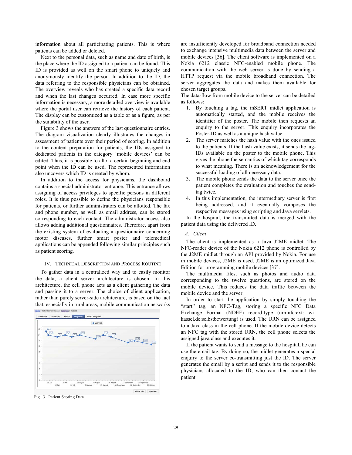information about all participating patients. This is where patients can be added or deleted.

Next to the personal data, such as name and date of birth, is the place where the ID assigned to a patient can be found. This ID is provided as well on the smart phone to uniquely and anonymously identify the person. In addition to the ID, the data referring to the responsible physicians can be obtained. The overview reveals who has created a specific data record and when the last changes occurred. In case more specific information is necessary, a more detailed overview is available where the portal user can retrieve the history of each patient. The display can be customized as a table or as a figure, as per the suitability of the user.

Figure 3 shows the answers of the last questionnaire entries. The diagram visualization clearly illustrates the changes in assessment of patients over their period of scoring. In addition to the content preparation for patients, the IDs assigned to dedicated patients in the category 'mobile devices' can be edited. Thus, it is possible to allot a certain beginning and end point when the ID can be used. The represented information also uncovers which ID is created by whom.

In addition to the access for physicians, the dashboard contains a special administrator entrance. This entrance allows assigning of access privileges to specific persons in different roles. It is thus possible to define the physicians responsible for patients, or further administrators can be allotted. The fax and phone number, as well as email address, can be stored corresponding to each contact. The administrator access also allows adding additional questionnaires. Therefore, apart from the existing system of evaluating a questionnaire concerning motor diseases, further smart poster and telemedical applications can be appended following similar principles such as patient scoring.

#### IV. TECHNICAL DESCRIPTION AND PROCESS ROUTINE

To gather data in a centralized way and to easily monitor the data, a client server architecture is chosen. In this architecture, the cell phone acts as a client gathering the data and passing it to a server. The choice of client application, rather than purely server-side architecture, is based on the fact that, especially in rural areas, mobile communication networks



Fig. 3. Patient Scoring Data

are insufficiently developed for broadband connection needed to exchange intensive multimedia data between the server and mobile devices [36]. The client software is implemented on a Nokia 6212 classic NFC-enabled mobile phone. The communication with the web server is done by sending a HTTP request via the mobile broadband connection. The server aggregates the data and makes them available for chosen target groups.

The data-flow from mobile device to the server can be detailed as follows:

- 1. By touching a tag, the inSERT midlet application is automatically started, and the mobile receives the identifier of the poster. The mobile then requests an enquiry to the server. This enquiry incorporates the Poster-ID as well as a unique hash value.
- 2. The server matches the hash value with the ones issued to the patients. If the hash value exists, it sends the tag-IDs available on the poster to the mobile phone. This gives the phone the semantics of which tag corresponds to what meaning. There is an acknowledgement for the successful loading of all necessary data.
- 3. The mobile phone sends the data to the server once the patient completes the evaluation and touches the sendtag twice.
- 4. In this implementation, the intermediary server is first being addressed, and it eventually composes the respective messages using scripting and Java servlets.

In the hospital, the transmitted data is merged with the patient data using the delivered ID.

# *A. Client*

The client is implemented as a Java J2ME midlet. The NFC-reader device of the Nokia 6212 phone is controlled by the J2ME midlet through an API provided by Nokia. For use in mobile devices, J2ME is used. J2ME is an optimized Java Edition for programming mobile devices [37].

The multimedia files, such as photos and audio data corresponding to the twelve questions, are stored on the mobile device. This reduces the data traffic between the mobile device and the server.

In order to start the application by simply touching the "start" tag, an NFC-Tag, storing a specific NFC Data Exchange Format (NDEF) record-type (urn:nfc:ext: wikassel.de:selbstbewertung) is used. The URN can be assigned to a Java class in the cell phone. If the mobile device detects an NFC tag with the stored URN, the cell phone selects the assigned java class and executes it.

If the patient wants to send a message to the hospital, he can use the email tag. By doing so, the midlet generates a special enquiry to the server co-transmitting just the ID. The server generates the email by a script and sends it to the responsible physicians allocated to the ID, who can then contact the patient.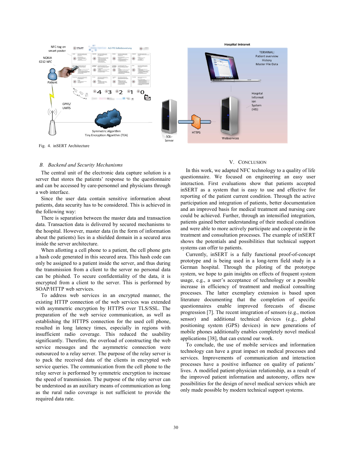

Fig. 4. inSERT Architecture

#### *B. Backend and Security Mechanisms*

The central unit of the electronic data capture solution is a server that stores the patients' response to the questionnaire and can be accessed by care-personnel and physicians through a web interface.

Since the user data contain sensitive information about patients, data security has to be considered. This is achieved in the following way:

There is separation between the master data and transaction data. Transaction data is delivered by secured mechanisms to the hospital. However, master data (in the form of information about the patients) lies in a shielded domain in a secured area inside the server architecture.

When allotting a cell phone to a patient, the cell phone gets a hash code generated in this secured area. This hash code can only be assigned to a patient inside the server, and thus during the transmission from a client to the server no personal data can be phished. To secure confidentiality of the data, it is encrypted from a client to the server. This is performed by SOAP/HTTP web services.

To address web services in an encrypted manner, the existing HTTP connection of the web services was extended with asymmetric encryption by HTTPS over TLS/SSL. The preparation of the web service communication, as well as establishing the HTTPS connection for the used cell phone, resulted in long latency times, especially in regions with insufficient radio coverage. This reduced the usability significantly. Therefore, the overload of constructing the web service messages and the asymmetric connection were outsourced to a relay server. The purpose of the relay server is to pack the received data of the clients in encrypted web service queries. The communication from the cell phone to the relay server is performed by symmetric encryption to increase the speed of transmission. The purpose of the relay server can be understood as an auxiliary means of communication as long as the rural radio coverage is not sufficient to provide the required data rate.

# V. CONCLUSION

In this work, we adapted NFC technology to a quality of life questionnaire. We focused on engineering an easy user interaction. First evaluations show that patients accepted inSERT as a system that is easy to use and effective for reporting of the patient current condition. Through the active participation and integration of patients, better documentation and an improved basis for medical treatment and nursing care could be achieved. Further, through an intensified integration, patients gained better understanding of their medical condition and were able to more actively participate and cooperate in the treatment and consultation processes. The example of inSERT shows the potentials and possibilities that technical support systems can offer to patients.

Currently, inSERT is a fully functional proof-of-concept prototype and is being used in a long-term field study in a German hospital. Through the piloting of the prototype system, we hope to gain insights on effects of frequent system usage, e.g., a user's acceptance of technology or a possible increase in efficiency of treatment and medical consulting processes. The latter exemplary extension is based upon literature documenting that the completion of specific questionnaires enable improved forecasts of disease progression [7]. The recent integration of sensors (e.g., motion sensor) and additional technical devices (e.g., global positioning system (GPS) devices) in new generations of mobile phones additionally enables completely novel medical applications [38], that can extend our work.

To conclude, the use of mobile services and information technology can have a great impact on medical processes and services. Improvements of communication and interaction processes have a positive influence on quality of patients' lives. A modified patient-physician relationship, as a result of the improved patient information and autonomy, offers new possibilities for the design of novel medical services which are only made possible by modern technical support systems.